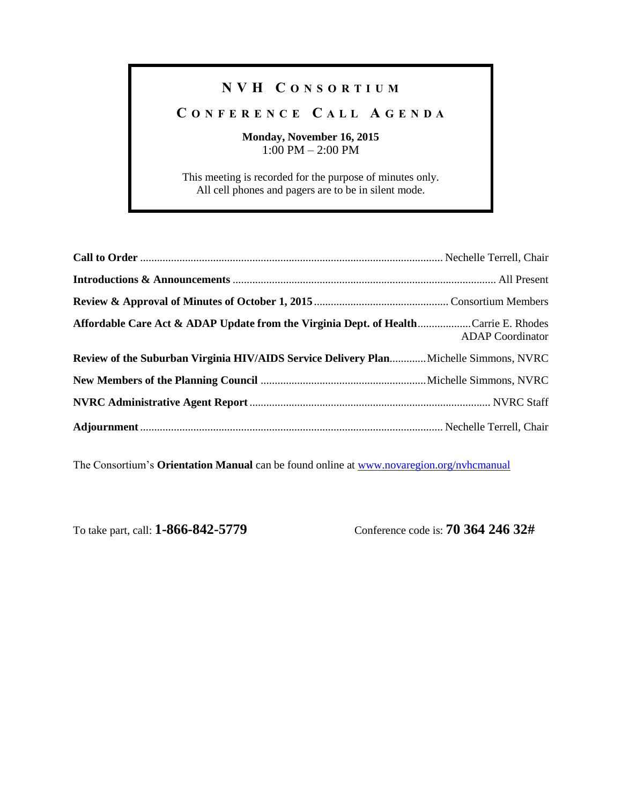## **N V H C O N S O R T I U M**

## **C O N F E R E N C E C A L L A G E N D A**

## **Monday, November 16, 2015** 1:00 PM – 2:00 PM

This meeting is recorded for the purpose of minutes only. All cell phones and pagers are to be in silent mode.

| Affordable Care Act & ADAP Update from the Virginia Dept. of HealthCarrie E. Rhodes   | <b>ADAP</b> Coordinator |
|---------------------------------------------------------------------------------------|-------------------------|
| Review of the Suburban Virginia HIV/AIDS Service Delivery Plan Michelle Simmons, NVRC |                         |
|                                                                                       |                         |
|                                                                                       |                         |
|                                                                                       |                         |

The Consortium's **Orientation Manual** can be found online at [www.novaregion.org/nvhcmanual](http://www.novaregion.org/nvhcmanual)

To take part, call: **1-866-842-5779** Conference code is: **70 364 246 32#**